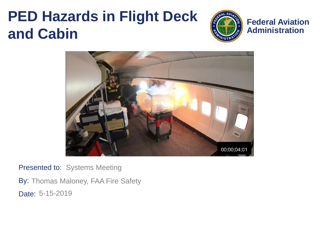#### **PED Hazards in Flight Deck and Cabin**



**Federal Aviation Administration**



Presented to: Systems Meeting

By: Thomas Maloney, FAA Fire Safety Date: 5-15-2019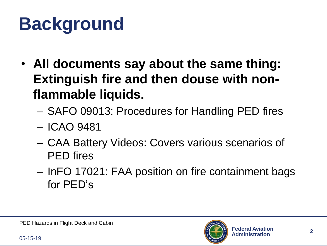#### **Background**

- **All documents say about the same thing: Extinguish fire and then douse with nonflammable liquids.**
	- SAFO 09013: Procedures for Handling PED fires
	- ICAO 9481
	- CAA Battery Videos: Covers various scenarios of PED fires
	- InFO 17021: FAA position on fire containment bags for PED's

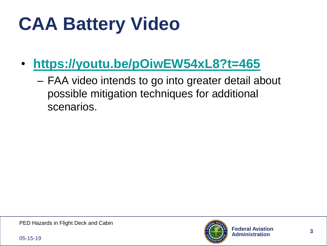# **CAA Battery Video**

- **<https://youtu.be/pOiwEW54xL8?t=465>**
	- FAA video intends to go into greater detail about possible mitigation techniques for additional scenarios.

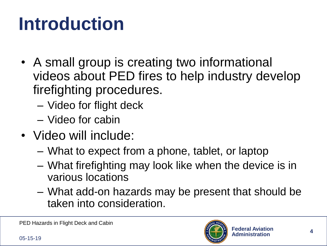### **Introduction**

- A small group is creating two informational videos about PED fires to help industry develop firefighting procedures.
	- Video for flight deck
	- Video for cabin
- Video will include:
	- What to expect from a phone, tablet, or laptop
	- What firefighting may look like when the device is in various locations
	- What add-on hazards may be present that should be taken into consideration.

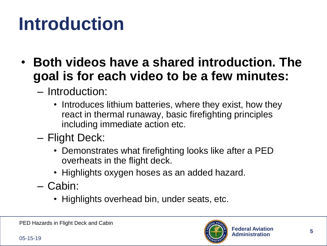#### **Introduction**

- **Both videos have a shared introduction. The goal is for each video to be a few minutes:**
	- Introduction:
		- Introduces lithium batteries, where they exist, how they react in thermal runaway, basic firefighting principles including immediate action etc.
	- Flight Deck:
		- Demonstrates what firefighting looks like after a PED overheats in the flight deck.
		- Highlights oxygen hoses as an added hazard.
	- Cabin:
		- Highlights overhead bin, under seats, etc.

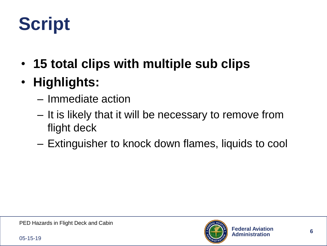### **Script**

- **15 total clips with multiple sub clips**
- **Highlights:**
	- Immediate action
	- It is likely that it will be necessary to remove from flight deck
	- Extinguisher to knock down flames, liquids to cool

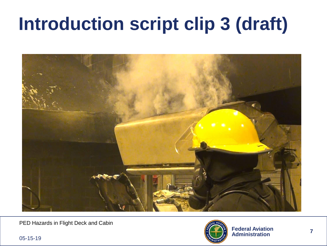#### **Introduction script clip 3 (draft)**



PED Hazards in Flight Deck and Cabin

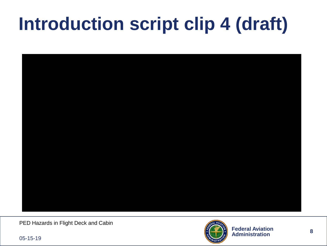#### **Introduction script clip 4 (draft)**



PED Hazards in Flight Deck and Cabin

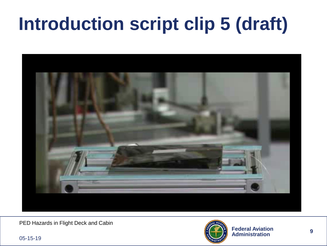#### **Introduction script clip 5 (draft)**



PED Hazards in Flight Deck and Cabin

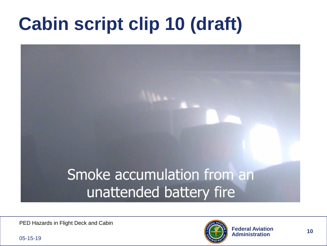# **Cabin script clip 10 (draft)**



PED Hazards in Flight Deck and Cabin

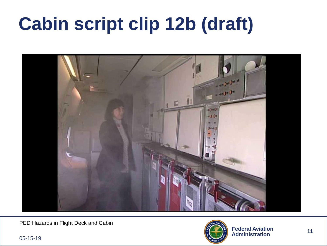### **Cabin script clip 12b (draft)**



PED Hazards in Flight Deck and Cabin

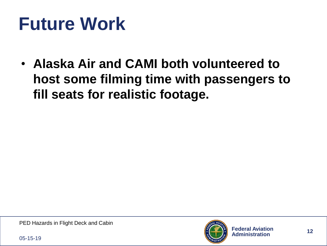#### **Future Work**

• **Alaska Air and CAMI both volunteered to host some filming time with passengers to fill seats for realistic footage.**